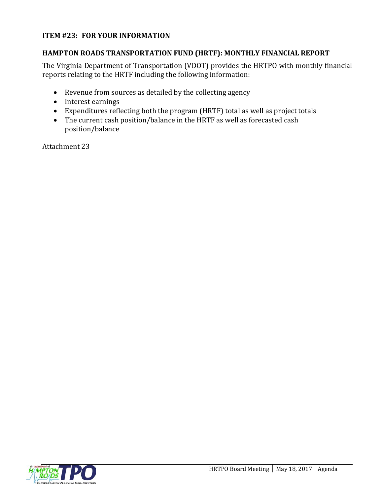#### **ITEM #23: FOR YOUR INFORMATION**

#### **HAMPTON ROADS TRANSPORTATION FUND (HRTF): MONTHLY FINANCIAL REPORT**

The Virginia Department of Transportation (VDOT) provides the HRTPO with monthly financial reports relating to the HRTF including the following information:

- Revenue from sources as detailed by the collecting agency
- Interest earnings
- Expenditures reflecting both the program (HRTF) total as well as project totals
- The current cash position/balance in the HRTF as well as forecasted cash position/balance

Attachment 23

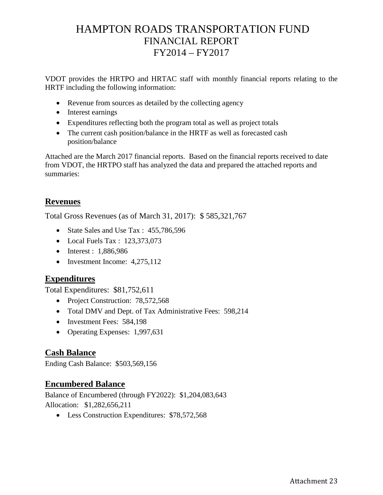# HAMPTON ROADS TRANSPORTATION FUND FINANCIAL REPORT FY2014 – FY2017

VDOT provides the HRTPO and HRTAC staff with monthly financial reports relating to the HRTF including the following information:

- Revenue from sources as detailed by the collecting agency
- Interest earnings
- Expenditures reflecting both the program total as well as project totals
- The current cash position/balance in the HRTF as well as forecasted cash position/balance

Attached are the March 2017 financial reports. Based on the financial reports received to date from VDOT, the HRTPO staff has analyzed the data and prepared the attached reports and summaries:

### **Revenues**

Total Gross Revenues (as of March 31, 2017): \$ 585,321,767

- State Sales and Use Tax : 455,786,596
- Local Fuels Tax : 123,373,073
- Interest : 1,886,986
- Investment Income: 4,275,112

### **Expenditures**

Total Expenditures: \$81,752,611

- Project Construction: 78,572,568
- Total DMV and Dept. of Tax Administrative Fees: 598,214
- Investment Fees: 584,198
- Operating Expenses: 1,997,631

### **Cash Balance**

Ending Cash Balance: \$503,569,156

### **Encumbered Balance**

Balance of Encumbered (through FY2022): \$1,204,083,643 Allocation: \$1,282,656,211

• Less Construction Expenditures: \$78,572,568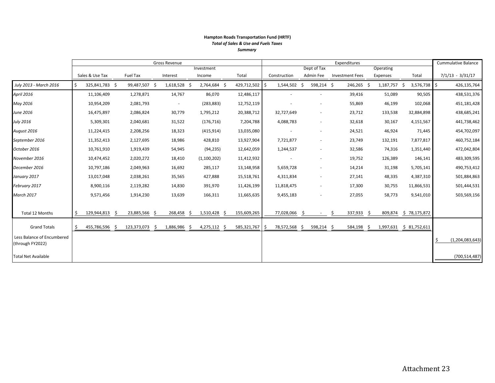#### **Hampton Roads Transportation Fund (HRTF)** *Total of Sales & Use and Fuels Taxes Summary*

|                            | Gross Revenue |                 |  |                |  |                |  | Expenditures   |             |    |               |     |             | <b>Cummulative Balance</b> |                        |      |           |     |                         |     |                    |
|----------------------------|---------------|-----------------|--|----------------|--|----------------|--|----------------|-------------|----|---------------|-----|-------------|----------------------------|------------------------|------|-----------|-----|-------------------------|-----|--------------------|
|                            |               |                 |  |                |  |                |  | Investment     |             |    |               |     | Dept of Tax |                            |                        |      | Operating |     |                         |     |                    |
|                            |               | Sales & Use Tax |  | Fuel Tax       |  | Interest       |  | Income         | Total       |    | Construction  |     | Admin Fee   |                            | <b>Investment Fees</b> |      | Expenses  |     | Total                   |     | $7/1/13 - 3/31/17$ |
| July 2013 - March 2016     |               | 325,841,783 \$  |  | 99,487,507 \$  |  | $1,618,528$ \$ |  | 2,764,684 \$   | 429,712,502 |    | 1,544,502     | -\$ | 598,214 \$  |                            | 246,265 \$             |      | 1,187,757 | -\$ | 3,576,738               | -\$ | 426,135,764        |
| <b>April 2016</b>          |               | 11,106,409      |  | 1,278,871      |  | 14,767         |  | 86,070         | 12,486,117  |    |               |     |             |                            | 39,416                 |      | 51,089    |     | 90,505                  |     | 438,531,376        |
| May 2016                   |               | 10,954,209      |  | 2,081,793      |  | $\sim$         |  | (283, 883)     | 12,752,119  |    |               |     |             |                            | 55,869                 |      | 46,199    |     | 102,068                 |     | 451,181,428        |
| June 2016                  |               | 16,475,897      |  | 2,086,824      |  | 30,779         |  | 1,795,212      | 20,388,712  |    | 32,727,649    |     | $\sim$      |                            | 23,712                 |      | 133,538   |     | 32,884,898              |     | 438,685,241        |
| July 2016                  |               | 5,309,301       |  | 2,040,681      |  | 31,522         |  | (176, 716)     | 7,204,788   |    | 4,088,783     |     | $\sim$      |                            | 32,618                 |      | 30,167    |     | 4,151,567               |     | 441,738,462        |
| August 2016                |               | 11,224,415      |  | 2,208,256      |  | 18,323         |  | (415, 914)     | 13,035,080  |    |               |     |             |                            | 24,521                 |      | 46,924    |     | 71,445                  |     | 454,702,097        |
| September 2016             |               | 11,352,413      |  | 2,127,695      |  | 18,986         |  | 428,810        | 13,927,904  |    | 7,721,877     |     | $\sim$      |                            | 23,749                 |      | 132,191   |     | 7,877,817               |     | 460,752,184        |
| October 2016               |               | 10,761,910      |  | 1,919,439      |  | 54,945         |  | (94, 235)      | 12,642,059  |    | 1,244,537     |     | $\sim$      |                            | 32,586                 |      | 74,316    |     | 1,351,440               |     | 472,042,804        |
| November 2016              |               | 10,474,452      |  | 2,020,272      |  | 18,410         |  | (1,100,202)    | 11,412,932  |    |               |     |             |                            | 19,752                 |      | 126,389   |     | 146,141                 |     | 483,309,595        |
| December 2016              |               | 10,797,186      |  | 2,049,963      |  | 16,692         |  | 285,117        | 13,148,958  |    | 5,659,728     |     | $\sim$      |                            | 14,214                 |      | 31,198    |     | 5,705,141               |     | 490,753,412        |
| January 2017               |               | 13,017,048      |  | 2,038,261      |  | 35,565         |  | 427,888        | 15,518,761  |    | 4,311,834     |     | $\sim$      |                            | 27,141                 |      | 48,335    |     | 4,387,310               |     | 501,884,863        |
| February 2017              |               | 8,900,116       |  | 2,119,282      |  | 14,830         |  | 391,970        | 11,426,199  |    | 11,818,475    |     |             |                            | 17,300                 |      | 30,755    |     | 11,866,531              |     | 501,444,531        |
| March 2017                 |               | 9,571,456       |  | 1,914,230      |  | 13,639         |  | 166,311        | 11,665,635  |    | 9,455,183     |     | $\sim$      |                            | 27,055                 |      | 58,773    |     | 9,541,010               |     | 503,569,156        |
|                            |               |                 |  |                |  |                |  |                |             |    |               |     |             |                            |                        |      |           |     |                         |     |                    |
| Total 12 Months            | Ŝ.            | 129,944,813 \$  |  | 23,885,566 \$  |  | 268,458 \$     |  | $1,510,428$ \$ | 155,609,265 |    | 77,028,066    |     |             |                            | 337,933                | -Ş   |           |     | 809,874 \$ 78,175,872   |     |                    |
| <b>Grand Totals</b>        | Ŝ.            | 455,786,596 \$  |  | 123,373,073 \$ |  | 1,886,986 \$   |  | $4,275,112$ \$ | 585,321,767 | -S | 78,572,568 \$ |     | 598,214 \$  |                            | 584,198                | - \$ |           |     | 1,997,631 \$ 81,752,611 |     |                    |
| Less Balance of Encumbered |               |                 |  |                |  |                |  |                |             |    |               |     |             |                            |                        |      |           |     |                         |     |                    |
| (through FY2022)           |               |                 |  |                |  |                |  |                |             |    |               |     |             |                            |                        |      |           |     |                         |     | (1,204,083,643)    |
| <b>Total Net Available</b> |               |                 |  |                |  |                |  |                |             |    |               |     |             |                            |                        |      |           |     |                         |     | (700, 514, 487)    |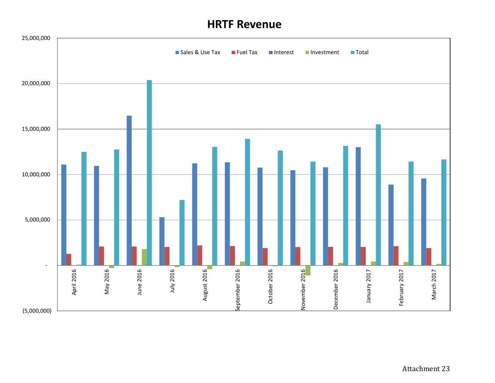# **HRTF Revenue**

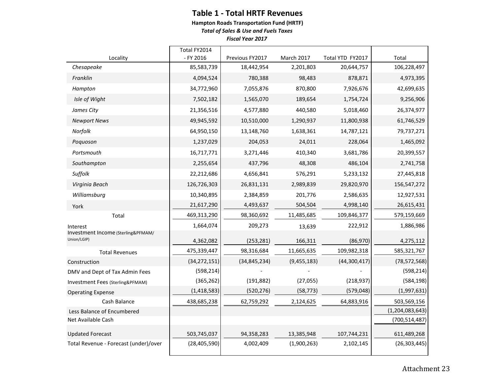### **Table 1 - Total HRTF Revenues**

**Hampton Roads Transportation Fund (HRTF)**

*Total of Sales & Use and Fuels Taxes*

*Fiscal Year 2017*

|                                                   | Total FY2014   |                 |             |                  |                 |
|---------------------------------------------------|----------------|-----------------|-------------|------------------|-----------------|
| Locality                                          | - FY 2016      | Previous FY2017 | March 2017  | Total YTD FY2017 | Total           |
| Chesapeake                                        | 85,583,739     | 18,442,954      | 2,201,803   | 20,644,757       | 106,228,497     |
| Franklin                                          | 4,094,524      | 780,388         | 98,483      | 878,871          | 4,973,395       |
| Hampton                                           | 34,772,960     | 7,055,876       | 870,800     | 7,926,676        | 42,699,635      |
| Isle of Wight                                     | 7,502,182      | 1,565,070       | 189,654     | 1,754,724        | 9,256,906       |
| James City                                        | 21,356,516     | 4,577,880       | 440,580     | 5,018,460        | 26,374,977      |
| <b>Newport News</b>                               | 49,945,592     | 10,510,000      | 1,290,937   | 11,800,938       | 61,746,529      |
| Norfolk                                           | 64,950,150     | 13,148,760      | 1,638,361   | 14,787,121       | 79,737,271      |
| Poquoson                                          | 1,237,029      | 204,053         | 24,011      | 228,064          | 1,465,092       |
| Portsmouth                                        | 16,717,771     | 3,271,446       | 410,340     | 3,681,786        | 20,399,557      |
| Southampton                                       | 2,255,654      | 437,796         | 48,308      | 486,104          | 2,741,758       |
| Suffolk                                           | 22,212,686     | 4,656,841       | 576,291     | 5,233,132        | 27,445,818      |
| Virginia Beach                                    | 126,726,303    | 26,831,131      | 2,989,839   | 29,820,970       | 156,547,272     |
| Williamsburg                                      | 10,340,895     | 2,384,859       | 201,776     | 2,586,635        | 12,927,531      |
| York                                              | 21,617,290     | 4,493,637       | 504,504     | 4,998,140        | 26,615,431      |
| Total                                             | 469,313,290    | 98,360,692      | 11,485,685  | 109,846,377      | 579,159,669     |
| Interest                                          | 1,664,074      | 209,273         | 13,639      | 222,912          | 1,886,986       |
| Investment Income (Sterling&PFMAM/<br>Union/LGIP) | 4,362,082      | (253, 281)      | 166,311     | (86,970)         | 4,275,112       |
| <b>Total Revenues</b>                             | 475,339,447    | 98,316,684      | 11,665,635  | 109,982,318      | 585,321,767     |
| Construction                                      | (34, 272, 151) | (34, 845, 234)  | (9,455,183) | (44,300,417)     | (78, 572, 568)  |
| DMV and Dept of Tax Admin Fees                    | (598, 214)     |                 |             |                  | (598, 214)      |
| Investment Fees (Sterling&PFMAM)                  | (365, 262)     | (191, 882)      | (27, 055)   | (218, 937)       | (584, 198)      |
| <b>Operating Expense</b>                          | (1,418,583)    | (520, 276)      | (58, 773)   | (579, 048)       | (1,997,631)     |
| Cash Balance                                      | 438,685,238    | 62,759,292      | 2,124,625   | 64,883,916       | 503,569,156     |
| Less Balance of Encumbered                        |                |                 |             |                  | (1,204,083,643) |
| Net Available Cash                                |                |                 |             |                  | (700, 514, 487) |
| <b>Updated Forecast</b>                           | 503,745,037    | 94,358,283      | 13,385,948  | 107,744,231      | 611,489,268     |
| Total Revenue - Forecast (under)/over             | (28, 405, 590) | 4,002,409       | (1,900,263) | 2,102,145        | (26, 303, 445)  |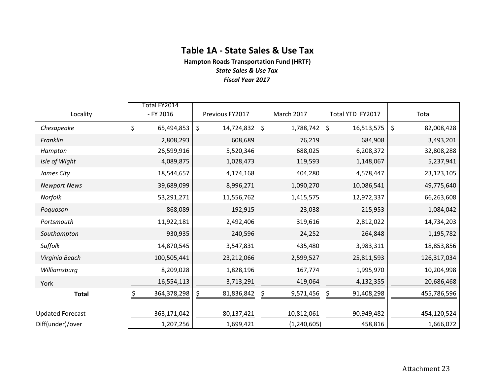### **Table 1A - State Sales & Use Tax**

**Hampton Roads Transportation Fund (HRTF)** *State Sales & Use Tax*

*Fiscal Year 2017*

| Locality                | Total FY2014<br>- FY 2016 | Previous FY2017  | March 2017      | Total YTD FY2017 | Total            |  |  |
|-------------------------|---------------------------|------------------|-----------------|------------------|------------------|--|--|
| Chesapeake              | \$<br>65,494,853          | \$<br>14,724,832 | \$<br>1,788,742 | \$<br>16,513,575 | \$<br>82,008,428 |  |  |
| Franklin                | 2,808,293                 | 608,689          | 76,219          | 684,908          | 3,493,201        |  |  |
| Hampton                 | 26,599,916                | 5,520,346        | 688,025         | 6,208,372        | 32,808,288       |  |  |
| Isle of Wight           | 4,089,875                 | 1,028,473        | 119,593         | 1,148,067        | 5,237,941        |  |  |
| James City              | 18,544,657                | 4,174,168        | 404,280         | 4,578,447        | 23,123,105       |  |  |
| <b>Newport News</b>     | 39,689,099                | 8,996,271        | 1,090,270       | 10,086,541       | 49,775,640       |  |  |
| Norfolk                 | 53,291,271                | 11,556,762       | 1,415,575       | 12,972,337       | 66,263,608       |  |  |
| Poquoson                | 868,089                   | 192,915          | 23,038          | 215,953          | 1,084,042        |  |  |
| Portsmouth              | 11,922,181                | 2,492,406        | 319,616         | 2,812,022        | 14,734,203       |  |  |
| Southampton             | 930,935                   | 240,596          | 24,252          | 264,848          | 1,195,782        |  |  |
| Suffolk                 | 14,870,545                | 3,547,831        | 435,480         | 3,983,311        | 18,853,856       |  |  |
| Virginia Beach          | 100,505,441               | 23,212,066       | 2,599,527       | 25,811,593       | 126,317,034      |  |  |
| Williamsburg            | 8,209,028                 | 1,828,196        | 167,774         | 1,995,970        | 10,204,998       |  |  |
| York                    | 16,554,113                | 3,713,291        | 419,064         | 4,132,355        | 20,686,468       |  |  |
| <b>Total</b>            | 364,378,298               | 81,836,842<br>\$ | \$<br>9,571,456 | \$<br>91,408,298 | 455,786,596      |  |  |
| <b>Updated Forecast</b> | 363,171,042               | 80,137,421       | 10,812,061      | 90,949,482       | 454,120,524      |  |  |
| Diff(under)/over        | 1,207,256                 | 1,699,421        | (1, 240, 605)   | 458,816          | 1,666,072        |  |  |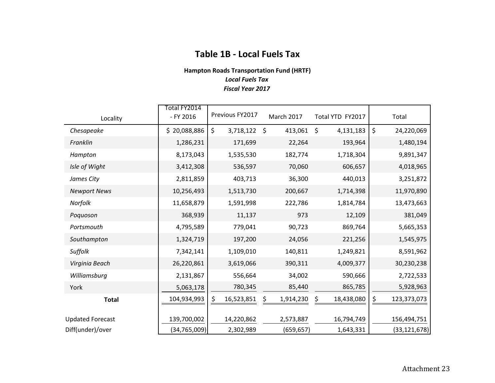## **Table 1B - Local Fuels Tax**

#### **Hampton Roads Transportation Fund (HRTF)** *Local Fuels Tax Fiscal Year 2017*

| Locality                | Total FY2014<br>- FY 2016 | Previous FY2017  | <b>March 2017</b>  | Total YTD FY2017 | Total             |
|-------------------------|---------------------------|------------------|--------------------|------------------|-------------------|
| Chesapeake              | \$20,088,886              | \$<br>3,718,122  | $\zeta$<br>413,061 | \$<br>4,131,183  | \$<br>24,220,069  |
| Franklin                | 1,286,231                 | 171,699          | 22,264             | 193,964          | 1,480,194         |
| Hampton                 | 8,173,043                 | 1,535,530        | 182,774            | 1,718,304        | 9,891,347         |
| Isle of Wight           | 3,412,308                 | 536,597          | 70,060             | 606,657          | 4,018,965         |
| James City              | 2,811,859                 | 403,713          | 36,300             | 440,013          | 3,251,872         |
| <b>Newport News</b>     | 10,256,493                | 1,513,730        | 200,667            | 1,714,398        | 11,970,890        |
| Norfolk                 | 11,658,879                | 1,591,998        | 222,786            | 1,814,784        | 13,473,663        |
| Poquoson                | 368,939                   | 11,137           | 973                | 12,109           | 381,049           |
| Portsmouth              | 4,795,589                 | 779,041          | 90,723             | 869,764          | 5,665,353         |
| Southampton             | 1,324,719                 | 197,200          | 24,056             | 221,256          | 1,545,975         |
| Suffolk                 | 7,342,141                 | 1,109,010        | 140,811            | 1,249,821        | 8,591,962         |
| Virginia Beach          | 26,220,861                | 3,619,066        | 390,311            | 4,009,377        | 30,230,238        |
| Williamsburg            | 2,131,867                 | 556,664          | 34,002             | 590,666          | 2,722,533         |
| York                    | 5,063,178                 | 780,345          | 85,440             | 865,785          | 5,928,963         |
| <b>Total</b>            | 104,934,993               | \$<br>16,523,851 | \$<br>1,914,230    | \$<br>18,438,080 | \$<br>123,373,073 |
| <b>Updated Forecast</b> | 139,700,002               | 14,220,862       | 2,573,887          | 16,794,749       | 156,494,751       |
| Diff(under)/over        | (34, 765, 009)            | 2,302,989        | (659, 657)         | 1,643,331        | (33, 121, 678)    |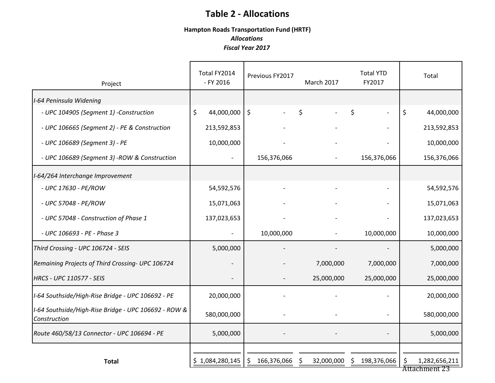# **Table 2 - Allocations**

#### **Hampton Roads Transportation Fund (HRTF)** *Allocations Fiscal Year 2017*

| Project                                                              | Total FY2014<br>- FY 2016 | Previous FY2017   | <b>March 2017</b>    | <b>Total YTD</b><br>FY2017 | Total                                |
|----------------------------------------------------------------------|---------------------------|-------------------|----------------------|----------------------------|--------------------------------------|
| I-64 Peninsula Widening                                              |                           |                   |                      |                            |                                      |
| - UPC 104905 (Segment 1) -Construction                               | \$<br>44,000,000          | $\zeta$           | \$<br>$\blacksquare$ | \$<br>$\sim$               | \$<br>44,000,000                     |
| - UPC 106665 (Segment 2) - PE & Construction                         | 213,592,853               |                   |                      |                            | 213,592,853                          |
| - UPC 106689 (Segment 3) - PE                                        | 10,000,000                |                   |                      |                            | 10,000,000                           |
| - UPC 106689 (Segment 3) -ROW & Construction                         |                           | 156,376,066       |                      | 156,376,066                | 156,376,066                          |
| I-64/264 Interchange Improvement                                     |                           |                   |                      |                            |                                      |
| - UPC 17630 - PE/ROW                                                 | 54,592,576                |                   |                      |                            | 54,592,576                           |
| - UPC 57048 - PE/ROW                                                 | 15,071,063                |                   |                      |                            | 15,071,063                           |
| - UPC 57048 - Construction of Phase 1                                | 137,023,653               |                   |                      |                            | 137,023,653                          |
| - UPC 106693 - PE - Phase 3                                          |                           | 10,000,000        |                      | 10,000,000                 | 10,000,000                           |
| Third Crossing - UPC 106724 - SEIS                                   | 5,000,000                 |                   |                      |                            | 5,000,000                            |
| Remaining Projects of Third Crossing- UPC 106724                     |                           |                   | 7,000,000            | 7,000,000                  | 7,000,000                            |
| <b>HRCS - UPC 110577 - SEIS</b>                                      |                           |                   | 25,000,000           | 25,000,000                 | 25,000,000                           |
| I-64 Southside/High-Rise Bridge - UPC 106692 - PE                    | 20,000,000                |                   |                      |                            | 20,000,000                           |
| I-64 Southside/High-Rise Bridge - UPC 106692 - ROW &<br>Construction | 580,000,000               |                   |                      |                            | 580,000,000                          |
| Route 460/58/13 Connector - UPC 106694 - PE                          | 5,000,000                 |                   |                      |                            | 5,000,000                            |
|                                                                      |                           |                   |                      |                            |                                      |
| <b>Total</b>                                                         | \$1,084,280,145           | 166,376,066<br>\$ | 32,000,000           | 198,376,066<br>S           | 1,282,656,211<br>Ş.<br>Attachment 23 |